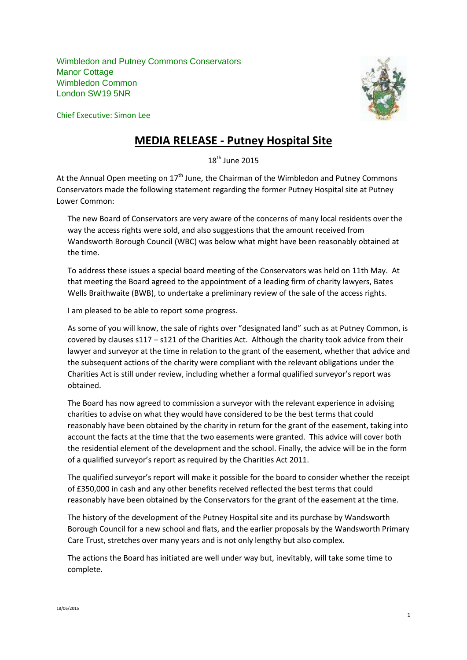Wimbledon and Putney Commons Conservators Manor Cottage Wimbledon Common London SW19 5NR

Chief Executive: Simon Lee



## **MEDIA RELEASE - Putney Hospital Site**

 $18^{th}$  June 2015

At the Annual Open meeting on  $17<sup>th</sup>$  June, the Chairman of the Wimbledon and Putney Commons Conservators made the following statement regarding the former Putney Hospital site at Putney Lower Common:

The new Board of Conservators are very aware of the concerns of many local residents over the way the access rights were sold, and also suggestions that the amount received from Wandsworth Borough Council (WBC) was below what might have been reasonably obtained at the time.

To address these issues a special board meeting of the Conservators was held on 11th May. At that meeting the Board agreed to the appointment of a leading firm of charity lawyers, Bates Wells Braithwaite (BWB), to undertake a preliminary review of the sale of the access rights.

I am pleased to be able to report some progress.

As some of you will know, the sale of rights over "designated land" such as at Putney Common, is covered by clauses s117 – s121 of the Charities Act. Although the charity took advice from their lawyer and surveyor at the time in relation to the grant of the easement, whether that advice and the subsequent actions of the charity were compliant with the relevant obligations under the Charities Act is still under review, including whether a formal qualified surveyor's report was obtained.

The Board has now agreed to commission a surveyor with the relevant experience in advising charities to advise on what they would have considered to be the best terms that could reasonably have been obtained by the charity in return for the grant of the easement, taking into account the facts at the time that the two easements were granted. This advice will cover both the residential element of the development and the school. Finally, the advice will be in the form of a qualified surveyor's report as required by the Charities Act 2011.

The qualified surveyor's report will make it possible for the board to consider whether the receipt of £350,000 in cash and any other benefits received reflected the best terms that could reasonably have been obtained by the Conservators for the grant of the easement at the time.

The history of the development of the Putney Hospital site and its purchase by Wandsworth Borough Council for a new school and flats, and the earlier proposals by the Wandsworth Primary Care Trust, stretches over many years and is not only lengthy but also complex.

The actions the Board has initiated are well under way but, inevitably, will take some time to complete.